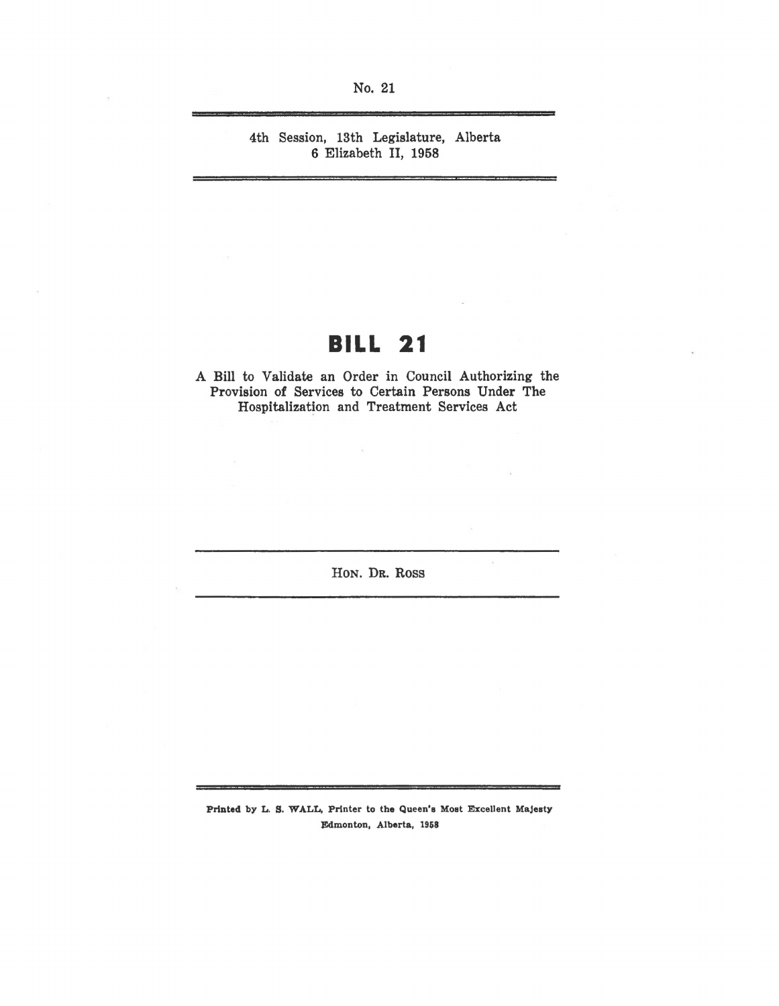No. 21

4th Session, 13th Legislature, Alberta 6 Elizabeth II, 1958

# **BILL 21**

A Bill to Validate an Order in Council Authorizing the Provision of Services to Certain Persons Under The Hospitalization and Treatment Services Act

HoN. DR. Ross

 $\mathcal{G}_\mathcal{C}$ 

Printed by L. S. WALL, Printer to the Queen's Moat Excellent Majesty Edmonton, Alberta, 1958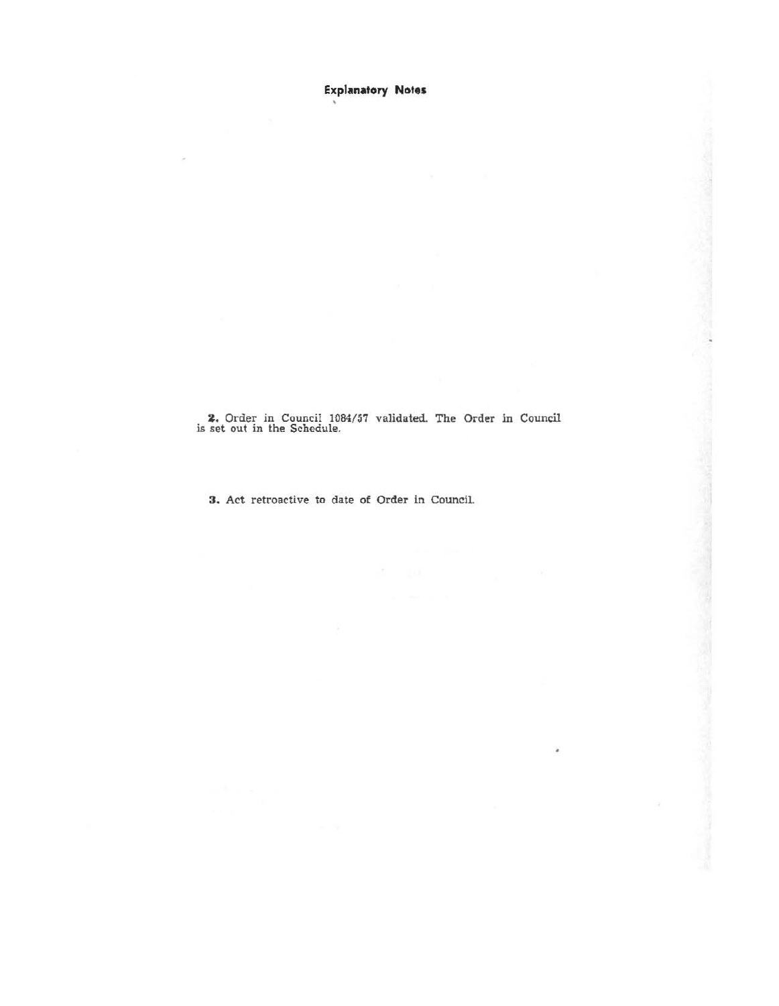**Explanatory Notes** 

2. Order in Council 1084/57 validated. The Order in Council is set out in the Schedule.

3. Act retroactive to date of Order in Council.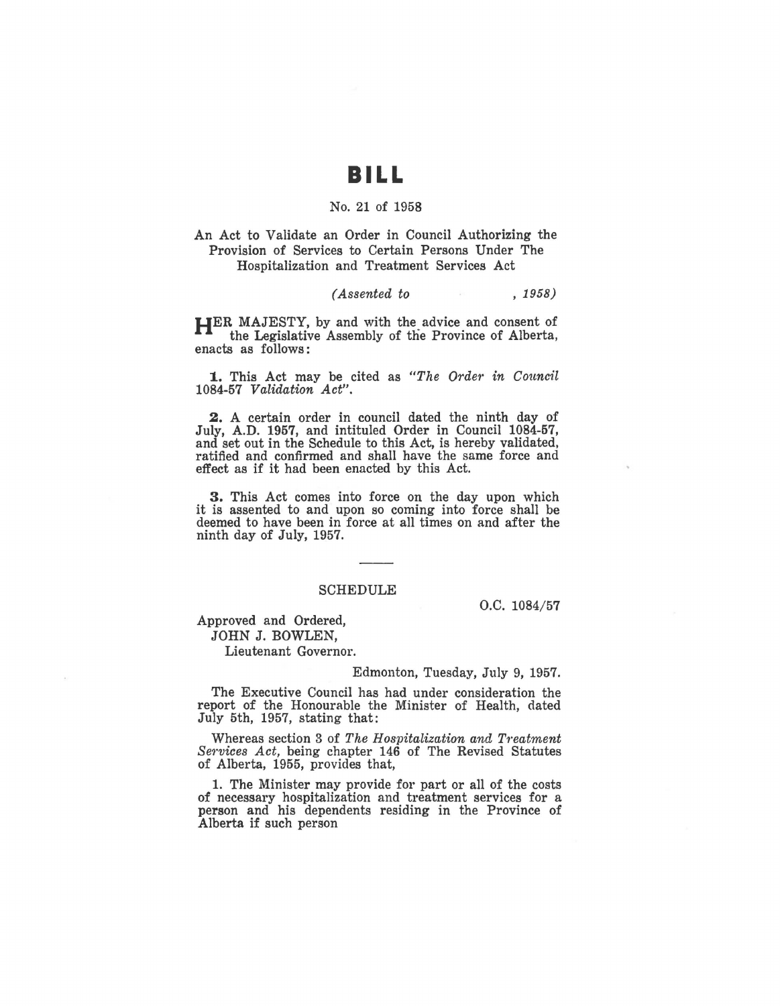## **BILL**

### No. 21 of 1958

An Act to Validate an Order in Council Authorizing the Provision of Services to Certain Persons Under The Hospitalization and Treatment Services Act

### *(Assented to* , 1958)

**HER** MAJESTY, by and with the advice and consent of the Legislative Assembly of the Province of Alberta, enacts as follows :

**l..** This Act may be cited as *"The Order in Council*  1084-57 *Validation Act".* 

**2.** A certain order in council dated the ninth day of July, A.D. 1957, and intituled Order in Council 1084-57, and set out in the Schedule to this Act, is hereby validated, ratified and confirmed and shall have the same force and effect as if it had been enacted by this Act.

3. This Act comes into force on the day upon which it is assented to and upon so coming into force shall be deemed to have been in force at all times on and after the ninth day of July, 1957.

#### SCHEDULE

o.c. 1084/57

Approved and Ordered, JOHN J. BOWLEN,

Lieutenant Governor.

#### Edmonton, Tuesday, July 9, 1957.

The Executive Council has had under consideration the report of the Honourable the Minister of Health, dated July 5th, 1957, stating that:

Whereas section 3 of *The Hospitalization and Treatment Services Act, being chapter 146 of The Revised Statutes* of Alberta, 1955, provides that,

1. The Minister may provide for part or all of the costs of necessary hospitalization and treatment services for a person and his dependents residing in the Province of Alberta if such person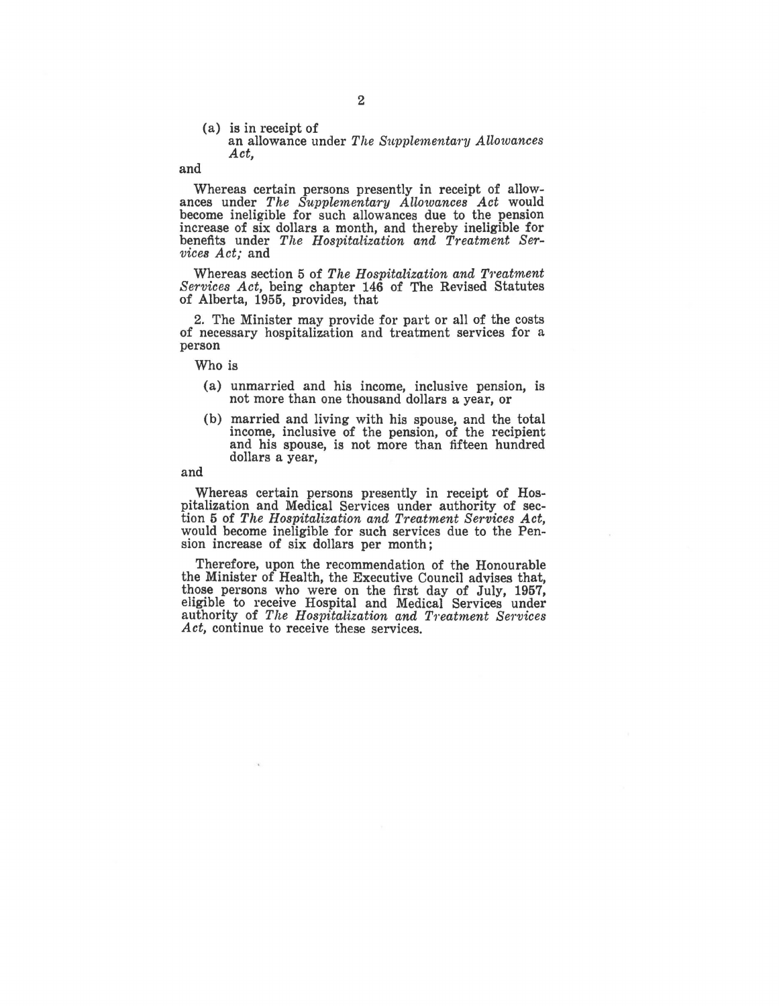#### (a) is in receipt of an allowance under *The Supplementary Allowances Act,*

and

Whereas certain persons presently in receipt of allowances under *The Supplementary Allo'Wances Act* would become ineligible for such allowances due to the pension increase of six dollars a month, and thereby ineligible for benefits under *The Hospitalization and Treatment Services Act;* and

Whereas section 5 of *The Hospitalization and Treatment Services Act,* being chapter 146 of The Revised Statutes of Alberta, 1955, provides, that

2. The Minister may provide for part or all of the costs of necessary hospitalization and treatment services for a person

Who is

- (a) unmarried and his income, inclusive pension, is not more than one thousand dollars a year, or
- (b) married and living with his spouse, and the total and his spouse, is not more than fifteen hundred dollars a year,

and

Whereas certain persons presently in receipt of Hospitalization and Medical Services under authority of section 5 of *The Hospitalization and Treatment Services Act*, would become ineligible for such services due to the Pension increase of six dollars per month;

Therefore, upon the recommendation of the Honourable the Minister of Health, the Executive Council advises that, those persons who were on the first day of July, 1957, eligible to receive Hospital and Medical Services under authority of *The Hospitalization and Treatment Services Act,* continue to receive these services.